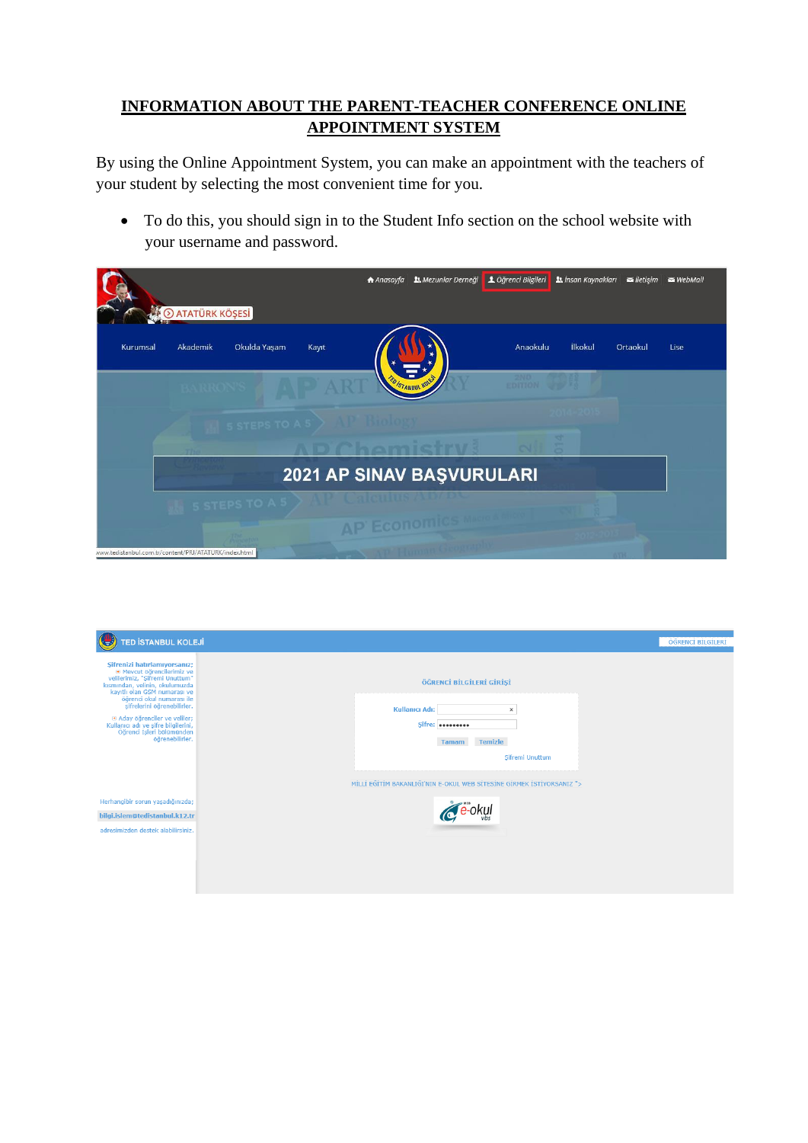## **INFORMATION ABOUT THE PARENT-TEACHER CONFERENCE ONLINE APPOINTMENT SYSTEM**

By using the Online Appointment System, you can make an appointment with the teachers of your student by selecting the most convenient time for you.

• To do this, you should sign in to the Student Info section on the school website with your username and password.

| <b>E O ATATÜRK KÖŞESİ</b>                             | <b>J.</b> Mezunlar Derneği<br>A Anasayfa | L Öğrenci Bilgileri        | <b>Lt</b> İnsan Kaynakları <b>letişim WebMail</b> |
|-------------------------------------------------------|------------------------------------------|----------------------------|---------------------------------------------------|
| Okulda Yaşam<br>Akademik<br>Kurumsal<br>Kayıt         |                                          | <b>İlkokul</b><br>Anaokulu | Ortaokul<br>Lise                                  |
|                                                       |                                          | 2ND<br>EDITION OF          |                                                   |
| 5 STEPS TO A 5 > AUCTION                              |                                          |                            |                                                   |
|                                                       |                                          |                            |                                                   |
|                                                       | 2021 AP SINAV BAŞVURULARI                |                            |                                                   |
| <b>5 STEPS TO A 5 &gt; AVE CALGIN</b>                 | <b>AP Economics</b>                      |                            |                                                   |
| www.tedistanbul.com.tr/content/PRJ/ATATURK/index.html |                                          |                            |                                                   |

| TED İSTANBUL KOLEJİ                                                                                                                                                                                                                                                                                                                                       | ÖĞRENCİ BİLGİLERİ                                                                                                                                                                              |
|-----------------------------------------------------------------------------------------------------------------------------------------------------------------------------------------------------------------------------------------------------------------------------------------------------------------------------------------------------------|------------------------------------------------------------------------------------------------------------------------------------------------------------------------------------------------|
| Sifrenizi hatırlamıyorsanız;<br><b>E Mevcut öğrencilerimiz ve</b><br>velilerimiz, "Şifremi Unuttum"<br>kısmından, velinin, okulumuzda<br>kayıtlı olan GSM numarası ve<br>öğrenci okul numarası ile<br>şifrelerini öğrenebilirler.<br>a Aday öğrenciler ve veliler;<br>Kullanıcı adı ve şifre bilgilerini,<br>Öğrenci İşleri bölümünden<br>öğrenebilirler. | ÖĞRENCİ BİLGİLERİ GİRİŞİ<br>Kullanıcı Adı:<br>$\times$<br>Sifre:<br><b>Temizle</b><br><b>Tamam</b><br>Sifremi Unuttum<br>MİLLİ EĞİTİM BAKANLIĞI'NIN E-OKUL WEB SİTESİNE GİRMEK İSTİYORSANIZ "> |
| Herhangibir sorun yaşadığınızda;<br>bilgi.islem@tedistanbul.k12.tr<br>adresimizden destek alabilirsiniz.                                                                                                                                                                                                                                                  | ∫e-okul                                                                                                                                                                                        |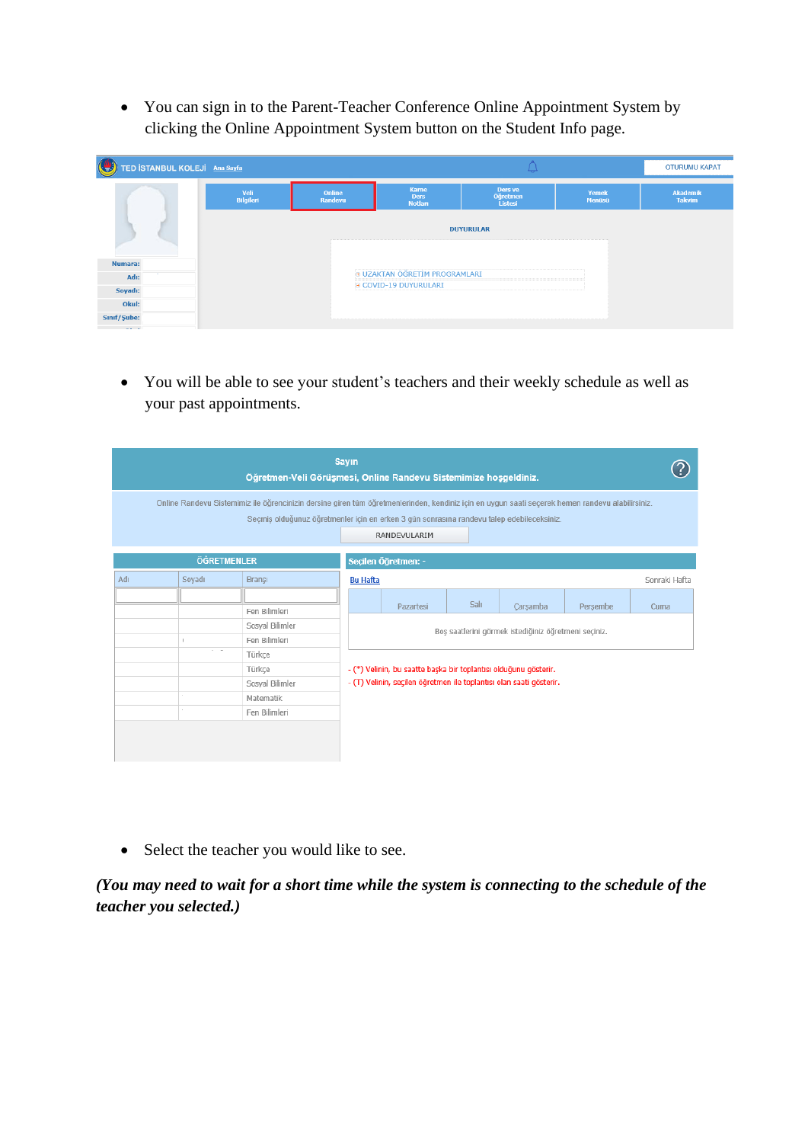• You can sign in to the Parent-Teacher Conference Online Appointment System by clicking the Online Appointment System button on the Student Info page.

| $\bigcirc$<br>TED İSTANBUL KOLEJİ Ana Sayfa |                          |                   |                                               | ₩                              |                 | <b>OTURUMU KAPAT</b>             |
|---------------------------------------------|--------------------------|-------------------|-----------------------------------------------|--------------------------------|-----------------|----------------------------------|
|                                             | Veli<br><b>Bilgileri</b> | Online<br>Randevu | <b>Karne</b><br><b>Ders</b><br><b>Notlari</b> | Ders ve<br>Öğretmen<br>Listesi | Yemek<br>Menüsü | <b>Akademik</b><br><b>Takvim</b> |
|                                             |                          |                   |                                               | <b>DUYURULAR</b>               |                 |                                  |
| Numara:                                     |                          |                   |                                               |                                |                 |                                  |
| $\sim$<br>Adı:                              |                          |                   | <b>9 UZAKTAN ÖĞRETİM PROGRAMLARI</b>          |                                |                 |                                  |
| Soyadı:                                     |                          |                   | <b>E COVID-19 DUYURULARI</b>                  |                                |                 |                                  |
| Okul:                                       |                          |                   |                                               |                                |                 |                                  |
| Sinif/Sube:                                 |                          |                   |                                               |                                |                 |                                  |

• You will be able to see your student's teachers and their weekly schedule as well as your past appointments.

|     |                    | Öğretmen-Veli Görüşmesi, Online Randevu Sistemimize hoşgeldiniz.                                                                                                                                                                              | <b>Sayın</b>    |                                                                     |      |                                                      |          |               |
|-----|--------------------|-----------------------------------------------------------------------------------------------------------------------------------------------------------------------------------------------------------------------------------------------|-----------------|---------------------------------------------------------------------|------|------------------------------------------------------|----------|---------------|
|     |                    | Online Randevu Sistemimiz ile öğrencinizin dersine giren tüm öğretmenlerinden, kendiniz için en uygun saati seçerek hemen randevu alabilirsiniz.<br>Seçmiş olduğunuz öğretmenler için en erken 3 gün sonrasına randevu talep edebileceksiniz. |                 | RANDEVULARIM                                                        |      |                                                      |          |               |
|     | <b>ÖĞRETMENLER</b> |                                                                                                                                                                                                                                               |                 | Seçilen Öğretmen: -                                                 |      |                                                      |          |               |
| Adı | Sovadı             | Bransı                                                                                                                                                                                                                                        | <b>Bu Hafta</b> |                                                                     |      |                                                      |          | Sonraki Hafta |
|     |                    |                                                                                                                                                                                                                                               |                 |                                                                     | Salı |                                                      |          |               |
|     |                    | Fen Bilimleri                                                                                                                                                                                                                                 |                 | Pazartesi                                                           |      | Carsamba                                             | Persembe | Cuma          |
|     |                    | Sosval Bilimler                                                                                                                                                                                                                               |                 |                                                                     |      | Bos saatlerini görmek istediğiniz öğretmeni seçiniz. |          |               |
|     |                    | Fen Bilimleri                                                                                                                                                                                                                                 |                 |                                                                     |      |                                                      |          |               |
|     | $-1$               | Türkce                                                                                                                                                                                                                                        |                 |                                                                     |      |                                                      |          |               |
|     |                    | Türkce                                                                                                                                                                                                                                        |                 | - (*) Velinin, bu saatte başka bir toplantısı olduğunu gösterir.    |      |                                                      |          |               |
|     |                    | Sosyal Bilimler                                                                                                                                                                                                                               |                 | - (T) Velinin, seçilen öğretmen ile toplantısı olan saati gösterir. |      |                                                      |          |               |
|     |                    | Matematik                                                                                                                                                                                                                                     |                 |                                                                     |      |                                                      |          |               |
|     |                    | Fen Bilimleri                                                                                                                                                                                                                                 |                 |                                                                     |      |                                                      |          |               |
|     |                    |                                                                                                                                                                                                                                               |                 |                                                                     |      |                                                      |          |               |

• Select the teacher you would like to see.

*(You may need to wait for a short time while the system is connecting to the schedule of the teacher you selected.)*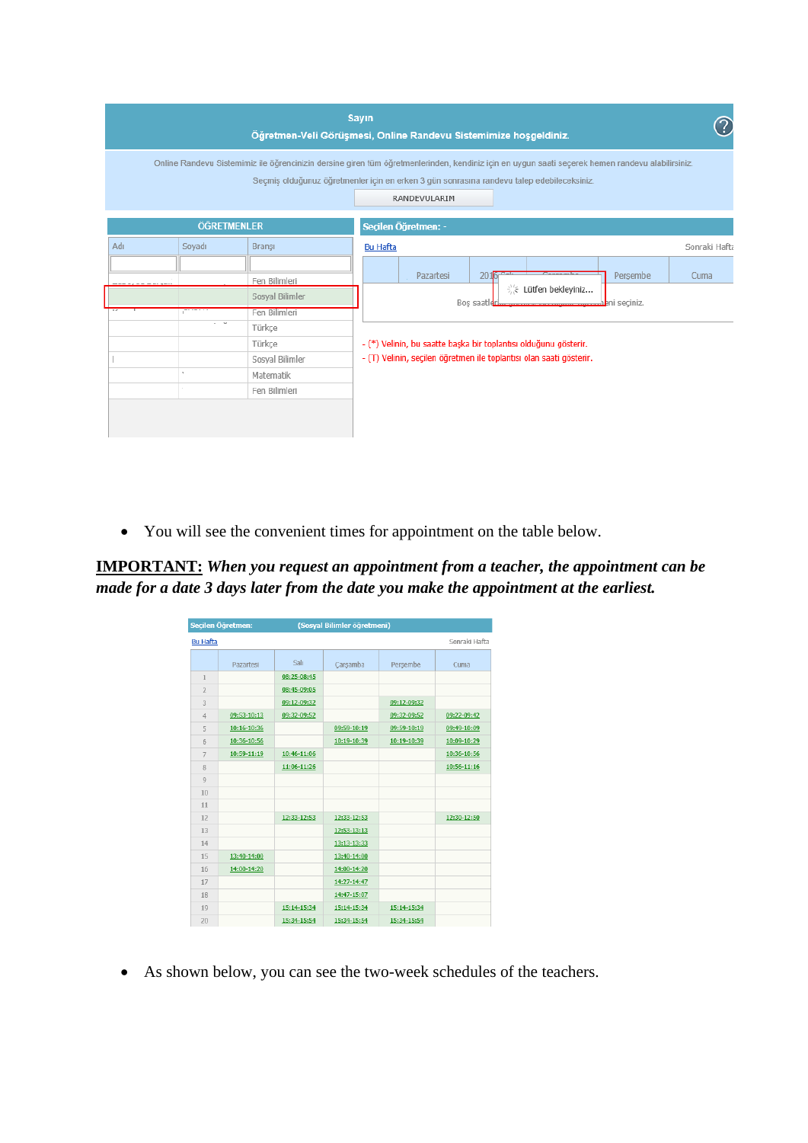|                                                                                                                                    | <b>Sayın</b><br>Öğretmen-Veli Görüşmesi, Online Randevu Sistemimize hoşgeldiniz.                                                                                                                                                                              |
|------------------------------------------------------------------------------------------------------------------------------------|---------------------------------------------------------------------------------------------------------------------------------------------------------------------------------------------------------------------------------------------------------------|
|                                                                                                                                    | Online Randevu Sistemimiz ile öğrencinizin dersine giren tüm öğretmenlerinden, kendiniz için en uygun saati seçerek hemen randevu alabilirsiniz.<br>Seçmiş olduğunuz öğretmenler için en erken 3 gün sonrasına randevu talep edebileceksiniz.<br>RANDEVULARIM |
| <b>ÖĞRETMENLER</b>                                                                                                                 | Seçilen Öğretmen: -                                                                                                                                                                                                                                           |
| Adı<br>Soyadı<br>Bransı                                                                                                            | Sonraki Hafta<br><b>Bu Hafta</b>                                                                                                                                                                                                                              |
| Fen Bilimleri<br>Sosyal Bilimler<br>Fen Bilimleri<br>$\omega$<br>Türkçe<br>Türkce<br>Sosyal Bilimler<br>Matematik<br>Fen Bilimleri | Persembe<br>Pazartesi<br>Cuma<br>20<br>※ Lütfen bekleyiniz<br>Bos saatlerby www.www.www.www.aheni seciniz.<br>- (*) Velinin, bu saatte başka bir toplantısı olduğunu gösterir.<br>- (T) Velinin, seçilen öğretmen ile toplantısı olan saati gösterir.         |

• You will see the convenient times for appointment on the table below.

**IMPORTANT:** *When you request an appointment from a teacher, the appointment can be made for a date 3 days later from the date you make the appointment at the earliest.* 

|                  | Seçilen Öğretmen: |             | (Sosyal Bilimler öğretmeni) |             |               |
|------------------|-------------------|-------------|-----------------------------|-------------|---------------|
| <b>Bu Hafta</b>  |                   |             |                             |             | Sonraki Hafta |
|                  | Pazartesi         | Salı        | Carsamba                    | Persembe    | Cuma          |
| 1                |                   | 08:25-08:45 |                             |             |               |
| $\overline{2}$   |                   | 08:45-09:05 |                             |             |               |
| 3                |                   | 09:12-09:32 |                             | 09:12-09:32 |               |
| $\overline{4}$   | 09:53-10:13       | 09:32-09:52 |                             | 09:32-09:52 | 09:22-09:42   |
| 5                | 10:16-10:36       |             | 09:59-10:19                 | 09:59-10:19 | 09:49-10:09   |
| $6 \overline{6}$ | 10:36-10:56       |             | 10:19-10:39                 | 10:19-10:39 | 10:09-10:29   |
| $\overline{7}$   | 10:59-11:19       | 10:46-11:06 |                             |             | 10:36-10:56   |
| 8                |                   | 11:06-11:26 |                             |             | 10:56-11:16   |
| $\overline{9}$   |                   |             |                             |             |               |
| 10               |                   |             |                             |             |               |
| 11               |                   |             |                             |             |               |
| 12               |                   | 12:33-12:53 | 12:33-12:53                 |             | 12:30-12:50   |
| 13               |                   |             | 12:53-13:13                 |             |               |
| 14               |                   |             | 13:13-13:33                 |             |               |
| 15               | 13:40-14:00       |             | 13:40-14:00                 |             |               |
| 16               | 14:00-14:20       |             | 14:00-14:20                 |             |               |
| 17               |                   |             | 14:27-14:47                 |             |               |
| 18               |                   |             | 14:47-15:07                 |             |               |
| 19               |                   | 15:14-15:34 | 15:14-15:34                 | 15:14-15:34 |               |
| 20               |                   | 15:34-15:54 | 15:34-15:54                 | 15:34-15:54 |               |

• As shown below, you can see the two-week schedules of the teachers.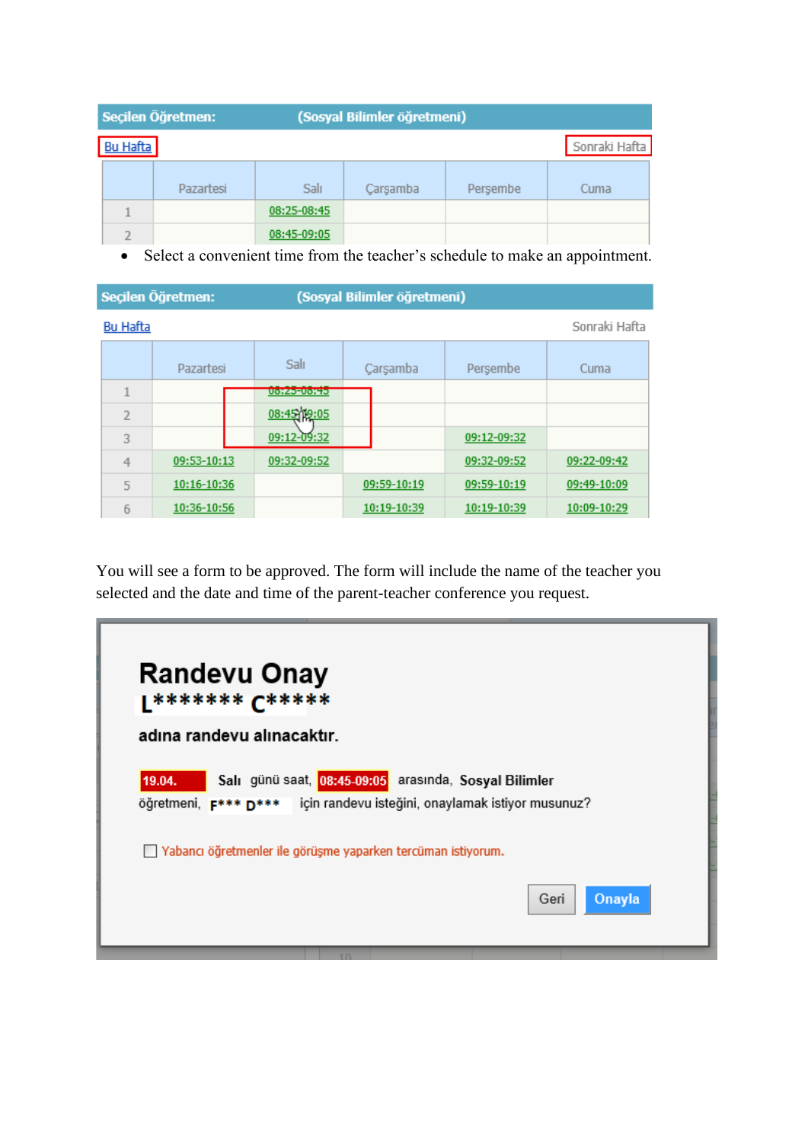|                 | Seçilen Öğretmen: |             | (Sosyal Bilimler öğretmeni) |          |               |
|-----------------|-------------------|-------------|-----------------------------|----------|---------------|
| <b>Bu Hafta</b> |                   |             |                             |          | Sonraki Hafta |
|                 | Pazartesi         | Salı        | Carsamba                    | Persembe | Cuma          |
|                 |                   | 08:25-08:45 |                             |          |               |
|                 |                   | 08:45-09:05 |                             |          |               |

• Select a convenient time from the teacher's schedule to make an appointment.

|                          | Seçilen Öğretmen: |                    | (Sosyal Bilimler öğretmeni) |             |               |
|--------------------------|-------------------|--------------------|-----------------------------|-------------|---------------|
| <b>Bu Hafta</b>          |                   |                    |                             |             | Sonraki Hafta |
|                          | Pazartesi         | Salı               | Çarşamba                    | Persembe    | Cuma          |
| $\overline{\phantom{a}}$ |                   | <b>UOIZO-UOITO</b> |                             |             |               |
| 2                        |                   | 08:45 19:05        |                             |             |               |
| 3                        |                   | 09:12-09:32        |                             | 09:12-09:32 |               |
| 4                        | 09:53-10:13       | 09:32-09:52        |                             | 09:32-09:52 | 09:22-09:42   |
| 5                        | 10:16-10:36       |                    | 09:59-10:19                 | 09:59-10:19 | 09:49-10:09   |
| 6                        | 10:36-10:56       |                    | 10:19-10:39                 | 10:19-10:39 | 10:09-10:29   |

You will see a form to be approved. The form will include the name of the teacher you selected and the date and time of the parent-teacher conference you request.

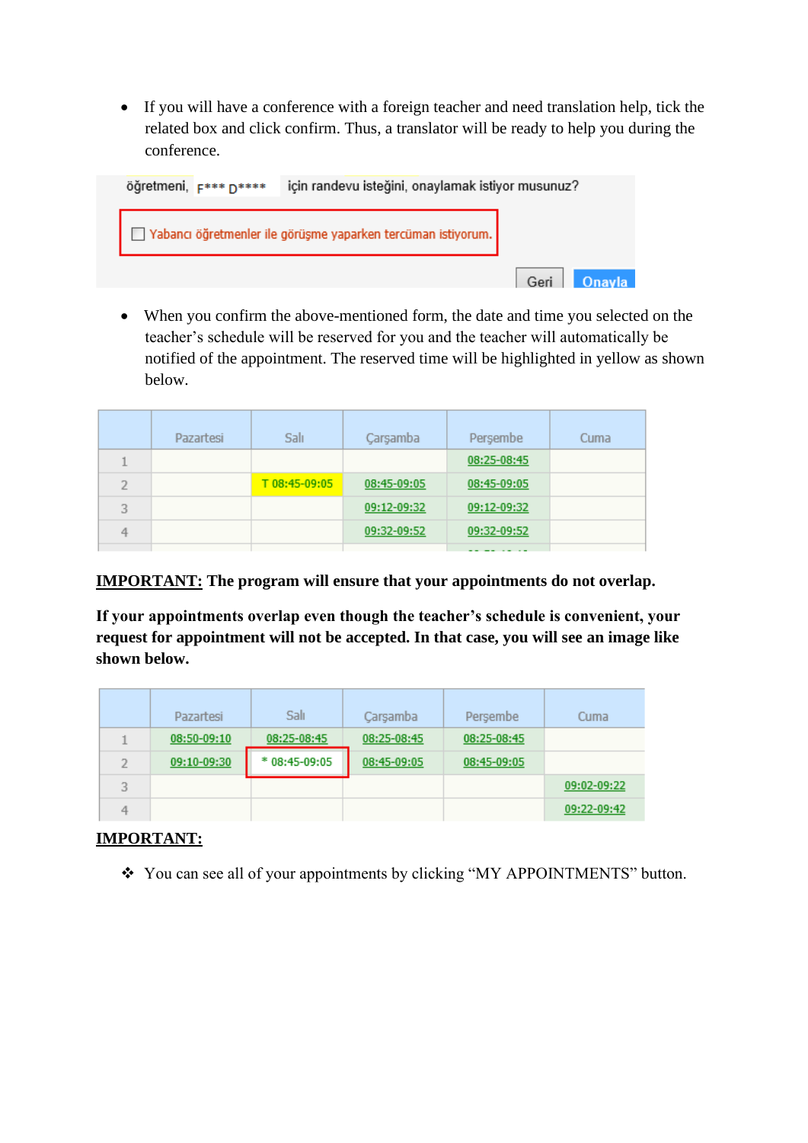• If you will have a conference with a foreign teacher and need translation help, tick the related box and click confirm. Thus, a translator will be ready to help you during the conference.



• When you confirm the above-mentioned form, the date and time you selected on the teacher's schedule will be reserved for you and the teacher will automatically be notified of the appointment. The reserved time will be highlighted in yellow as shown below.

|                | Pazartesi | Salı          | Çarşamba    | Persembe    | Cuma |
|----------------|-----------|---------------|-------------|-------------|------|
|                |           |               |             | 08:25-08:45 |      |
| $\overline{2}$ |           | T 08:45-09:05 | 08:45-09:05 | 08:45-09:05 |      |
| 3              |           |               | 09:12-09:32 | 09:12-09:32 |      |
| 4              |           |               | 09:32-09:52 | 09:32-09:52 |      |
|                |           |               |             | --------    |      |

**IMPORTANT: The program will ensure that your appointments do not overlap.** 

**If your appointments overlap even though the teacher's schedule is convenient, your request for appointment will not be accepted. In that case, you will see an image like shown below.** 

|   | Pazartesi   | Salı           | Carsamba    | Persembe    | Cuma        |
|---|-------------|----------------|-------------|-------------|-------------|
|   | 08:50-09:10 | 08:25-08:45    | 08:25-08:45 | 08:25-08:45 |             |
|   | 09:10-09:30 | $*08:45-09:05$ | 08:45-09:05 | 08:45-09:05 |             |
| 3 |             |                |             |             | 09:02-09:22 |
|   |             |                |             |             | 09:22-09:42 |

## **IMPORTANT:**

❖ You can see all of your appointments by clicking "MY APPOINTMENTS" button.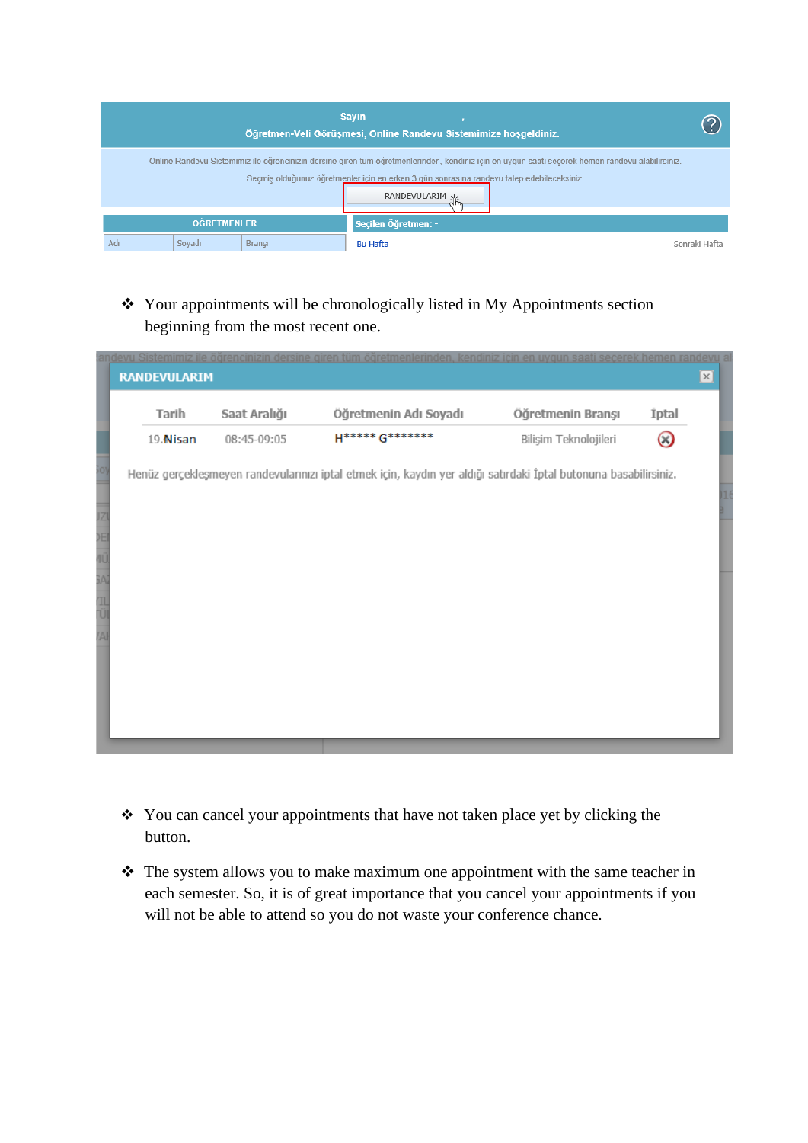|     |                    |               | <b>Sayın</b><br>Öğretmen-Veli Görüşmesi, Online Randevu Sistemimize hoşgeldiniz.                                                                                                                                                                                     |               |
|-----|--------------------|---------------|----------------------------------------------------------------------------------------------------------------------------------------------------------------------------------------------------------------------------------------------------------------------|---------------|
|     |                    |               | Online Randevu Sistemimiz ile öğrencinizin dersine giren tüm öğretmenlerinden, kendiniz için en uygun saati seçerek hemen randevu alabilirsiniz.<br>Seçmiş olduğunuz öğretmenler için en erken 3 gün sonrasına randevu talep edebileceksiniz.<br><b>RANDEVULARIM</b> |               |
|     | <b>ÖĞRETMENLER</b> |               | Secilen Öğretmen: -                                                                                                                                                                                                                                                  |               |
| Adı | Soyadı             | <b>Bransi</b> | <b>Bu Hafta</b>                                                                                                                                                                                                                                                      | Sonraki Hafta |

## ❖ Your appointments will be chronologically listed in My Appointments section beginning from the most recent one.

| Tarih    | Saat Aralığı | Öğretmenin Adı Soyadı                                                                                             | Öğretmenin Branşı     | İptal |
|----------|--------------|-------------------------------------------------------------------------------------------------------------------|-----------------------|-------|
| 19 Nisan | 08:45-09:05  | H***** G*******                                                                                                   | Bilişim Teknolojileri | O     |
|          |              | Henüz gerçekleşmeyen randevularınızı iptal etmek için, kaydın yer aldığı satırdaki İptal butonuna basabilirsiniz. |                       |       |
|          |              |                                                                                                                   |                       |       |
|          |              |                                                                                                                   |                       |       |
|          |              |                                                                                                                   |                       |       |
|          |              |                                                                                                                   |                       |       |
|          |              |                                                                                                                   |                       |       |
|          |              |                                                                                                                   |                       |       |
|          |              |                                                                                                                   |                       |       |
|          |              |                                                                                                                   |                       |       |
|          |              |                                                                                                                   |                       |       |
|          |              |                                                                                                                   |                       |       |

- ❖ You can cancel your appointments that have not taken place yet by clicking the button.
- ❖ The system allows you to make maximum one appointment with the same teacher in each semester. So, it is of great importance that you cancel your appointments if you will not be able to attend so you do not waste your conference chance.